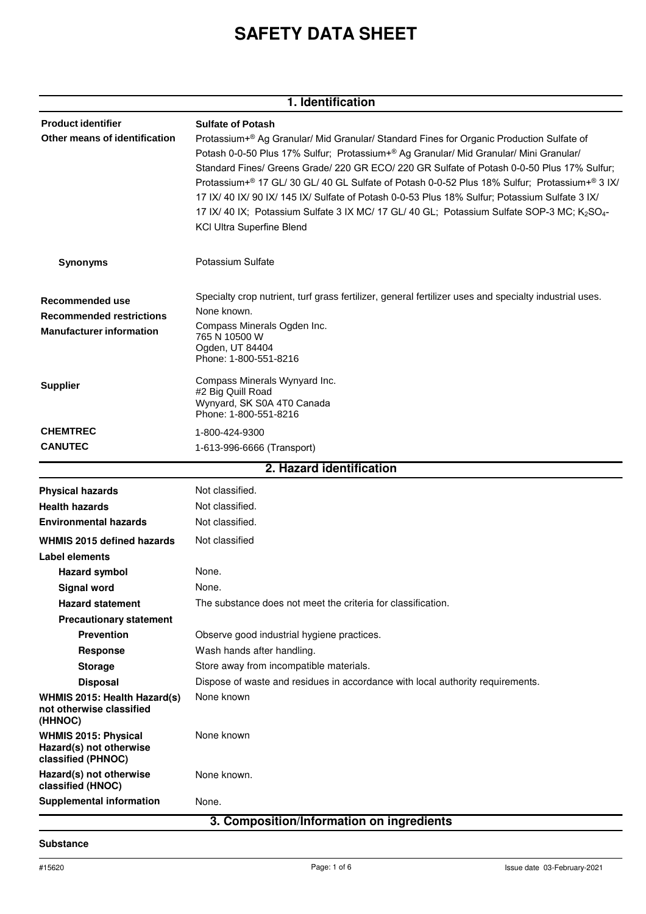# **SAFETY DATA SHEET**

| 1. Identification                                                                     |                                                                                                                                                                                                                                                                                                                                                                                                                                                                                                                                                                                                                                                                    |  |
|---------------------------------------------------------------------------------------|--------------------------------------------------------------------------------------------------------------------------------------------------------------------------------------------------------------------------------------------------------------------------------------------------------------------------------------------------------------------------------------------------------------------------------------------------------------------------------------------------------------------------------------------------------------------------------------------------------------------------------------------------------------------|--|
| <b>Product identifier</b><br>Other means of identification                            | <b>Sulfate of Potash</b><br>Protassium+® Ag Granular/ Mid Granular/ Standard Fines for Organic Production Sulfate of<br>Potash 0-0-50 Plus 17% Sulfur; Protassium+® Ag Granular/ Mid Granular/ Mini Granular/<br>Standard Fines/ Greens Grade/ 220 GR ECO/ 220 GR Sulfate of Potash 0-0-50 Plus 17% Sulfur;<br>Protassium+® 17 GL/ 30 GL/ 40 GL Sulfate of Potash 0-0-52 Plus 18% Sulfur; Protassium+® 3 IX/<br>17 IX/ 40 IX/ 90 IX/ 145 IX/ Sulfate of Potash 0-0-53 Plus 18% Sulfur; Potassium Sulfate 3 IX/<br>17 IX/ 40 IX; Potassium Sulfate 3 IX MC/ 17 GL/ 40 GL; Potassium Sulfate SOP-3 MC; K <sub>2</sub> SO <sub>4</sub> -<br>KCI Ultra Superfine Blend |  |
| <b>Synonyms</b>                                                                       | Potassium Sulfate                                                                                                                                                                                                                                                                                                                                                                                                                                                                                                                                                                                                                                                  |  |
| Recommended use<br><b>Recommended restrictions</b><br><b>Manufacturer information</b> | Specialty crop nutrient, turf grass fertilizer, general fertilizer uses and specialty industrial uses.<br>None known.<br>Compass Minerals Ogden Inc.<br>765 N 10500 W<br>Ogden, UT 84404<br>Phone: 1-800-551-8216                                                                                                                                                                                                                                                                                                                                                                                                                                                  |  |
| <b>Supplier</b>                                                                       | Compass Minerals Wynyard Inc.<br>#2 Big Quill Road<br>Wynyard, SK S0A 4T0 Canada<br>Phone: 1-800-551-8216                                                                                                                                                                                                                                                                                                                                                                                                                                                                                                                                                          |  |
| <b>CHEMTREC</b>                                                                       | 1-800-424-9300                                                                                                                                                                                                                                                                                                                                                                                                                                                                                                                                                                                                                                                     |  |
| <b>CANUTEC</b>                                                                        | 1-613-996-6666 (Transport)                                                                                                                                                                                                                                                                                                                                                                                                                                                                                                                                                                                                                                         |  |
|                                                                                       | 2. Hazard identification                                                                                                                                                                                                                                                                                                                                                                                                                                                                                                                                                                                                                                           |  |
| <b>Physical hazards</b>                                                               | Not classified.                                                                                                                                                                                                                                                                                                                                                                                                                                                                                                                                                                                                                                                    |  |
| <b>Health hazards</b>                                                                 | Not classified.                                                                                                                                                                                                                                                                                                                                                                                                                                                                                                                                                                                                                                                    |  |
| <b>Environmental hazards</b>                                                          | Not classified.                                                                                                                                                                                                                                                                                                                                                                                                                                                                                                                                                                                                                                                    |  |
| <b>WHMIS 2015 defined hazards</b>                                                     | Not classified                                                                                                                                                                                                                                                                                                                                                                                                                                                                                                                                                                                                                                                     |  |
| Label elements                                                                        |                                                                                                                                                                                                                                                                                                                                                                                                                                                                                                                                                                                                                                                                    |  |
| <b>Hazard symbol</b>                                                                  | None.                                                                                                                                                                                                                                                                                                                                                                                                                                                                                                                                                                                                                                                              |  |
| <b>Signal word</b>                                                                    | None.                                                                                                                                                                                                                                                                                                                                                                                                                                                                                                                                                                                                                                                              |  |
| <b>Hazard statement</b>                                                               | The substance does not meet the criteria for classification.                                                                                                                                                                                                                                                                                                                                                                                                                                                                                                                                                                                                       |  |
| <b>Precautionary statement</b>                                                        |                                                                                                                                                                                                                                                                                                                                                                                                                                                                                                                                                                                                                                                                    |  |
| <b>Prevention</b>                                                                     | Observe good industrial hygiene practices.                                                                                                                                                                                                                                                                                                                                                                                                                                                                                                                                                                                                                         |  |
| <b>Response</b>                                                                       | Wash hands after handling.                                                                                                                                                                                                                                                                                                                                                                                                                                                                                                                                                                                                                                         |  |
| <b>Storage</b>                                                                        | Store away from incompatible materials.                                                                                                                                                                                                                                                                                                                                                                                                                                                                                                                                                                                                                            |  |
| <b>Disposal</b>                                                                       | Dispose of waste and residues in accordance with local authority requirements.                                                                                                                                                                                                                                                                                                                                                                                                                                                                                                                                                                                     |  |
| WHMIS 2015: Health Hazard(s)<br>not otherwise classified<br>(HHNOC)                   | None known                                                                                                                                                                                                                                                                                                                                                                                                                                                                                                                                                                                                                                                         |  |
| <b>WHMIS 2015: Physical</b><br>Hazard(s) not otherwise<br>classified (PHNOC)          | None known                                                                                                                                                                                                                                                                                                                                                                                                                                                                                                                                                                                                                                                         |  |
| Hazard(s) not otherwise<br>classified (HNOC)                                          | None known.                                                                                                                                                                                                                                                                                                                                                                                                                                                                                                                                                                                                                                                        |  |
| <b>Supplemental information</b>                                                       | None.                                                                                                                                                                                                                                                                                                                                                                                                                                                                                                                                                                                                                                                              |  |
|                                                                                       | 3. Composition/Information on ingredients                                                                                                                                                                                                                                                                                                                                                                                                                                                                                                                                                                                                                          |  |

#### **Substance**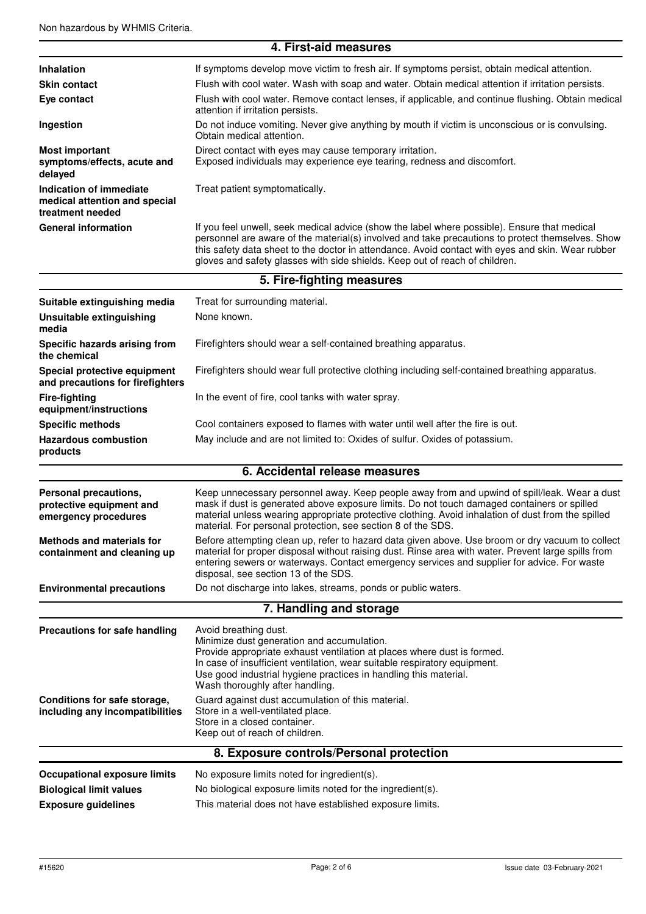|                                                                                                                | 4. First-aid measures                                                                                                                                                                                                                                                                                                                                                                |  |  |  |
|----------------------------------------------------------------------------------------------------------------|--------------------------------------------------------------------------------------------------------------------------------------------------------------------------------------------------------------------------------------------------------------------------------------------------------------------------------------------------------------------------------------|--|--|--|
| <b>Inhalation</b>                                                                                              | If symptoms develop move victim to fresh air. If symptoms persist, obtain medical attention.                                                                                                                                                                                                                                                                                         |  |  |  |
| <b>Skin contact</b>                                                                                            | Flush with cool water. Wash with soap and water. Obtain medical attention if irritation persists.                                                                                                                                                                                                                                                                                    |  |  |  |
| Eye contact                                                                                                    | Flush with cool water. Remove contact lenses, if applicable, and continue flushing. Obtain medical<br>attention if irritation persists.                                                                                                                                                                                                                                              |  |  |  |
| Ingestion                                                                                                      | Do not induce vomiting. Never give anything by mouth if victim is unconscious or is convulsing.<br>Obtain medical attention.                                                                                                                                                                                                                                                         |  |  |  |
| <b>Most important</b><br>symptoms/effects, acute and<br>delayed                                                | Direct contact with eyes may cause temporary irritation.<br>Exposed individuals may experience eye tearing, redness and discomfort.                                                                                                                                                                                                                                                  |  |  |  |
| Indication of immediate<br>Treat patient symptomatically.<br>medical attention and special<br>treatment needed |                                                                                                                                                                                                                                                                                                                                                                                      |  |  |  |
| <b>General information</b>                                                                                     | If you feel unwell, seek medical advice (show the label where possible). Ensure that medical<br>personnel are aware of the material(s) involved and take precautions to protect themselves. Show<br>this safety data sheet to the doctor in attendance. Avoid contact with eyes and skin. Wear rubber<br>gloves and safety glasses with side shields. Keep out of reach of children. |  |  |  |
|                                                                                                                | 5. Fire-fighting measures                                                                                                                                                                                                                                                                                                                                                            |  |  |  |
| Suitable extinguishing media                                                                                   | Treat for surrounding material.                                                                                                                                                                                                                                                                                                                                                      |  |  |  |
| Unsuitable extinguishing<br>media                                                                              | None known.                                                                                                                                                                                                                                                                                                                                                                          |  |  |  |
| Specific hazards arising from<br>the chemical                                                                  | Firefighters should wear a self-contained breathing apparatus.                                                                                                                                                                                                                                                                                                                       |  |  |  |
| Special protective equipment<br>and precautions for firefighters                                               | Firefighters should wear full protective clothing including self-contained breathing apparatus.                                                                                                                                                                                                                                                                                      |  |  |  |
| <b>Fire-fighting</b><br>equipment/instructions                                                                 | In the event of fire, cool tanks with water spray.                                                                                                                                                                                                                                                                                                                                   |  |  |  |
| <b>Specific methods</b>                                                                                        | Cool containers exposed to flames with water until well after the fire is out.                                                                                                                                                                                                                                                                                                       |  |  |  |
| <b>Hazardous combustion</b><br>products                                                                        | May include and are not limited to: Oxides of sulfur. Oxides of potassium.                                                                                                                                                                                                                                                                                                           |  |  |  |
|                                                                                                                | 6. Accidental release measures                                                                                                                                                                                                                                                                                                                                                       |  |  |  |
| Personal precautions,<br>protective equipment and<br>emergency procedures                                      | Keep unnecessary personnel away. Keep people away from and upwind of spill/leak. Wear a dust<br>mask if dust is generated above exposure limits. Do not touch damaged containers or spilled<br>material unless wearing appropriate protective clothing. Avoid inhalation of dust from the spilled<br>material. For personal protection, see section 8 of the SDS.                    |  |  |  |
| <b>Methods and materials for</b><br>containment and cleaning up                                                | Before attempting clean up, refer to hazard data given above. Use broom or dry vacuum to collect<br>material for proper disposal without raising dust. Rinse area with water. Prevent large spills from<br>entering sewers or waterways. Contact emergency services and supplier for advice. For waste<br>disposal, see section 13 of the SDS.                                       |  |  |  |
| <b>Environmental precautions</b>                                                                               | Do not discharge into lakes, streams, ponds or public waters.                                                                                                                                                                                                                                                                                                                        |  |  |  |
|                                                                                                                | 7. Handling and storage                                                                                                                                                                                                                                                                                                                                                              |  |  |  |
| <b>Precautions for safe handling</b>                                                                           | Avoid breathing dust.<br>Minimize dust generation and accumulation.<br>Provide appropriate exhaust ventilation at places where dust is formed.<br>In case of insufficient ventilation, wear suitable respiratory equipment.<br>Use good industrial hygiene practices in handling this material.<br>Wash thoroughly after handling.                                                   |  |  |  |
| Conditions for safe storage,<br>including any incompatibilities                                                | Guard against dust accumulation of this material.<br>Store in a well-ventilated place.<br>Store in a closed container.<br>Keep out of reach of children.                                                                                                                                                                                                                             |  |  |  |
|                                                                                                                | 8. Exposure controls/Personal protection                                                                                                                                                                                                                                                                                                                                             |  |  |  |
| <b>Occupational exposure limits</b><br><b>Biological limit values</b><br><b>Exposure guidelines</b>            | No exposure limits noted for ingredient(s).<br>No biological exposure limits noted for the ingredient(s).<br>This material does not have established exposure limits.                                                                                                                                                                                                                |  |  |  |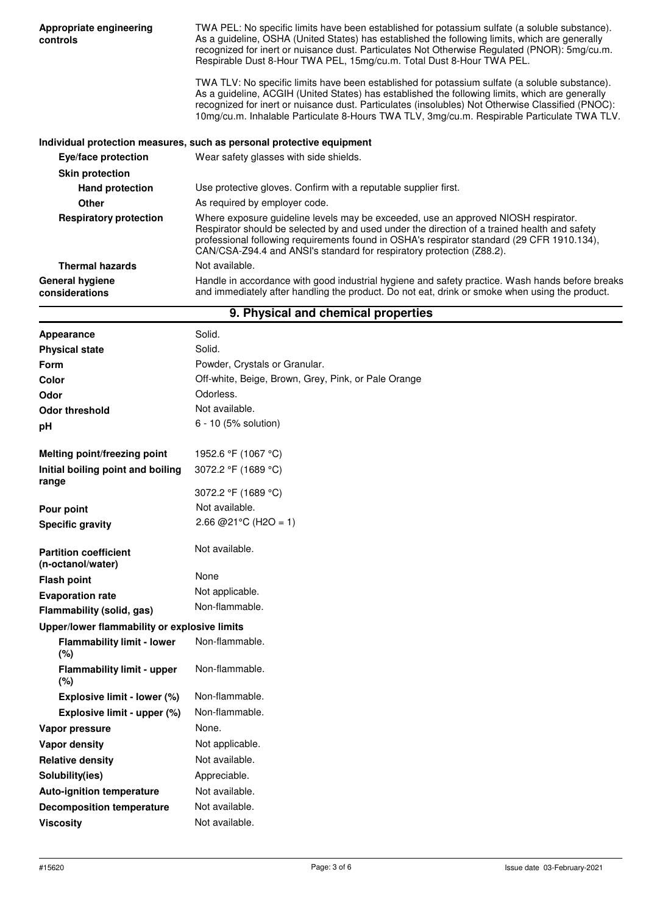| Appropriate engineering<br>controls        | TWA PEL: No specific limits have been established for potassium sulfate (a soluble substance).<br>As a guideline, OSHA (United States) has established the following limits, which are generally<br>recognized for inert or nuisance dust. Particulates Not Otherwise Regulated (PNOR): 5mg/cu.m.<br>Respirable Dust 8-Hour TWA PEL, 15mg/cu.m. Total Dust 8-Hour TWA PEL.                            |  |
|--------------------------------------------|-------------------------------------------------------------------------------------------------------------------------------------------------------------------------------------------------------------------------------------------------------------------------------------------------------------------------------------------------------------------------------------------------------|--|
|                                            | TWA TLV: No specific limits have been established for potassium sulfate (a soluble substance).<br>As a guideline, ACGIH (United States) has established the following limits, which are generally<br>recognized for inert or nuisance dust. Particulates (insolubles) Not Otherwise Classified (PNOC):<br>10mg/cu.m. Inhalable Particulate 8-Hours TWA TLV, 3mg/cu.m. Respirable Particulate TWA TLV. |  |
|                                            | Individual protection measures, such as personal protective equipment                                                                                                                                                                                                                                                                                                                                 |  |
| Eye/face protection                        | Wear safety glasses with side shields.                                                                                                                                                                                                                                                                                                                                                                |  |
| <b>Skin protection</b>                     |                                                                                                                                                                                                                                                                                                                                                                                                       |  |
| <b>Hand protection</b>                     | Use protective gloves. Confirm with a reputable supplier first.                                                                                                                                                                                                                                                                                                                                       |  |
| Other                                      | As required by employer code.                                                                                                                                                                                                                                                                                                                                                                         |  |
| <b>Respiratory protection</b>              | Where exposure guideline levels may be exceeded, use an approved NIOSH respirator.<br>Respirator should be selected by and used under the direction of a trained health and safety<br>professional following requirements found in OSHA's respirator standard (29 CFR 1910.134),<br>CAN/CSA-Z94.4 and ANSI's standard for respiratory protection (Z88.2).                                             |  |
| <b>Thermal hazards</b>                     | Not available.                                                                                                                                                                                                                                                                                                                                                                                        |  |
| <b>General hygiene</b><br>considerations   | Handle in accordance with good industrial hygiene and safety practice. Wash hands before breaks<br>and immediately after handling the product. Do not eat, drink or smoke when using the product.                                                                                                                                                                                                     |  |
|                                            | 9. Physical and chemical properties                                                                                                                                                                                                                                                                                                                                                                   |  |
| Appearance                                 | Solid.                                                                                                                                                                                                                                                                                                                                                                                                |  |
| <b>Physical state</b>                      | Solid.                                                                                                                                                                                                                                                                                                                                                                                                |  |
| <b>Form</b>                                | Powder, Crystals or Granular.                                                                                                                                                                                                                                                                                                                                                                         |  |
| Color                                      | Off-white, Beige, Brown, Grey, Pink, or Pale Orange                                                                                                                                                                                                                                                                                                                                                   |  |
| Odor                                       | Odorless.                                                                                                                                                                                                                                                                                                                                                                                             |  |
| <b>Odor threshold</b>                      | Not available.                                                                                                                                                                                                                                                                                                                                                                                        |  |
| рH                                         | 6 - 10 (5% solution)                                                                                                                                                                                                                                                                                                                                                                                  |  |
| Melting point/freezing point               | 1952.6 °F (1067 °C)                                                                                                                                                                                                                                                                                                                                                                                   |  |
| Initial boiling point and boiling<br>range | 3072.2 °F (1689 °C)                                                                                                                                                                                                                                                                                                                                                                                   |  |

**Pour point Specific gravity** 3072.2 °F (1689 °C) Not available. 2.66 @ 21 ° C (H 2 O = 1)

Not available.

**Partition coefficient (n-octanol/water) Flash point Evaporation rate** None Not applicable. Non-flammable. **Flammability (solid, gas) Upper/lower flammability or explosive limits Flammability limit - lower (%)** Non-flammable. **Flammability limit - upper (%)** Non-flammable. **Explosive limit - lower (%)** Non-flammable.

**Explosive limit - upper (%)** Non-flammable. Vapor pressure **None.** None. **Vapor density Not applicable. Relative density Not available.** Solubility(ies) **Appreciable. Auto-ignition temperature** Not available. **Decomposition temperature** Not available.

**Viscosity Not available.**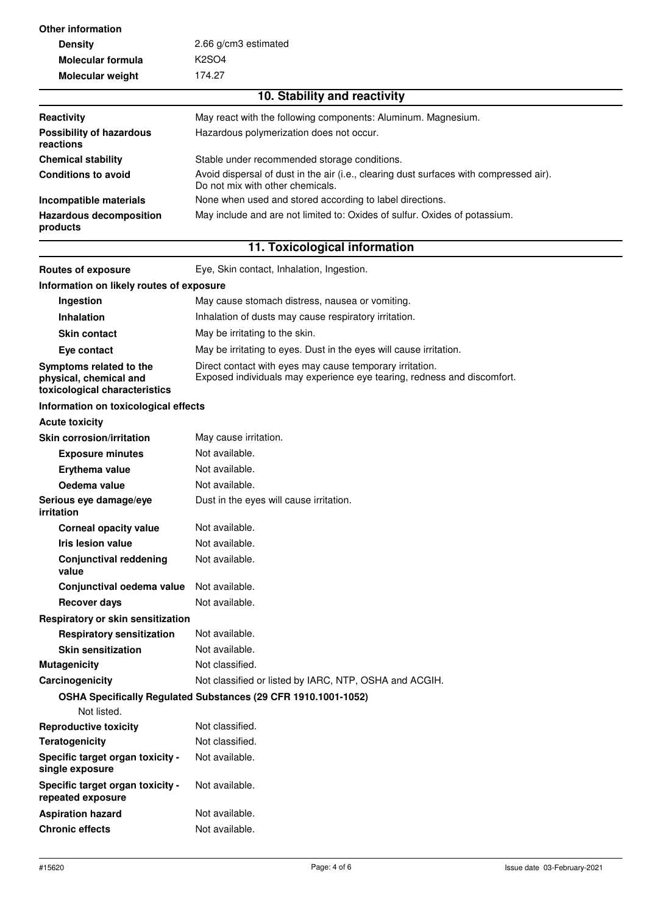| <b>Other information</b>                                                           |                                                                                                                                     |  |  |
|------------------------------------------------------------------------------------|-------------------------------------------------------------------------------------------------------------------------------------|--|--|
| <b>Density</b>                                                                     | 2.66 g/cm3 estimated                                                                                                                |  |  |
| Molecular formula                                                                  | K <sub>2</sub> SO <sub>4</sub>                                                                                                      |  |  |
| Molecular weight                                                                   | 174.27                                                                                                                              |  |  |
|                                                                                    | 10. Stability and reactivity                                                                                                        |  |  |
| Reactivity                                                                         | May react with the following components: Aluminum. Magnesium.                                                                       |  |  |
| Hazardous polymerization does not occur.<br><b>Possibility of hazardous</b>        |                                                                                                                                     |  |  |
| reactions                                                                          |                                                                                                                                     |  |  |
| <b>Chemical stability</b>                                                          | Stable under recommended storage conditions.                                                                                        |  |  |
| <b>Conditions to avoid</b>                                                         | Avoid dispersal of dust in the air (i.e., clearing dust surfaces with compressed air).<br>Do not mix with other chemicals.          |  |  |
| Incompatible materials                                                             | None when used and stored according to label directions.                                                                            |  |  |
| <b>Hazardous decomposition</b><br>products                                         | May include and are not limited to: Oxides of sulfur. Oxides of potassium.                                                          |  |  |
|                                                                                    | 11. Toxicological information                                                                                                       |  |  |
| <b>Routes of exposure</b>                                                          | Eye, Skin contact, Inhalation, Ingestion.                                                                                           |  |  |
| Information on likely routes of exposure                                           |                                                                                                                                     |  |  |
| Ingestion                                                                          | May cause stomach distress, nausea or vomiting.                                                                                     |  |  |
| <b>Inhalation</b>                                                                  | Inhalation of dusts may cause respiratory irritation.                                                                               |  |  |
| <b>Skin contact</b>                                                                | May be irritating to the skin.                                                                                                      |  |  |
| Eye contact                                                                        | May be irritating to eyes. Dust in the eyes will cause irritation.                                                                  |  |  |
| Symptoms related to the<br>physical, chemical and<br>toxicological characteristics | Direct contact with eyes may cause temporary irritation.<br>Exposed individuals may experience eye tearing, redness and discomfort. |  |  |
| Information on toxicological effects                                               |                                                                                                                                     |  |  |
| <b>Acute toxicity</b>                                                              |                                                                                                                                     |  |  |
| <b>Skin corrosion/irritation</b>                                                   | May cause irritation.                                                                                                               |  |  |
| <b>Exposure minutes</b>                                                            | Not available.                                                                                                                      |  |  |
| Erythema value                                                                     | Not available.                                                                                                                      |  |  |
| Oedema value                                                                       | Not available.                                                                                                                      |  |  |
| Serious eye damage/eye<br>irritation                                               | Dust in the eyes will cause irritation.                                                                                             |  |  |
| <b>Corneal opacity value</b>                                                       | Not available.                                                                                                                      |  |  |
| Iris lesion value                                                                  | Not available.                                                                                                                      |  |  |
| <b>Conjunctival reddening</b><br>value                                             | Not available.                                                                                                                      |  |  |
| Conjunctival oedema value                                                          | Not available.                                                                                                                      |  |  |
| <b>Recover days</b>                                                                | Not available.                                                                                                                      |  |  |
| Respiratory or skin sensitization                                                  |                                                                                                                                     |  |  |
| <b>Respiratory sensitization</b>                                                   | Not available.                                                                                                                      |  |  |
| <b>Skin sensitization</b>                                                          | Not available.                                                                                                                      |  |  |
| <b>Mutagenicity</b>                                                                | Not classified.                                                                                                                     |  |  |
| Carcinogenicity                                                                    | Not classified or listed by IARC, NTP, OSHA and ACGIH.                                                                              |  |  |
| Not listed.                                                                        | OSHA Specifically Regulated Substances (29 CFR 1910.1001-1052)                                                                      |  |  |
| <b>Reproductive toxicity</b>                                                       | Not classified.                                                                                                                     |  |  |
| <b>Teratogenicity</b>                                                              | Not classified.                                                                                                                     |  |  |
| Specific target organ toxicity -<br>single exposure                                | Not available.                                                                                                                      |  |  |
| Specific target organ toxicity -<br>repeated exposure                              | Not available.                                                                                                                      |  |  |
| <b>Aspiration hazard</b>                                                           | Not available.                                                                                                                      |  |  |
| <b>Chronic effects</b>                                                             | Not available.                                                                                                                      |  |  |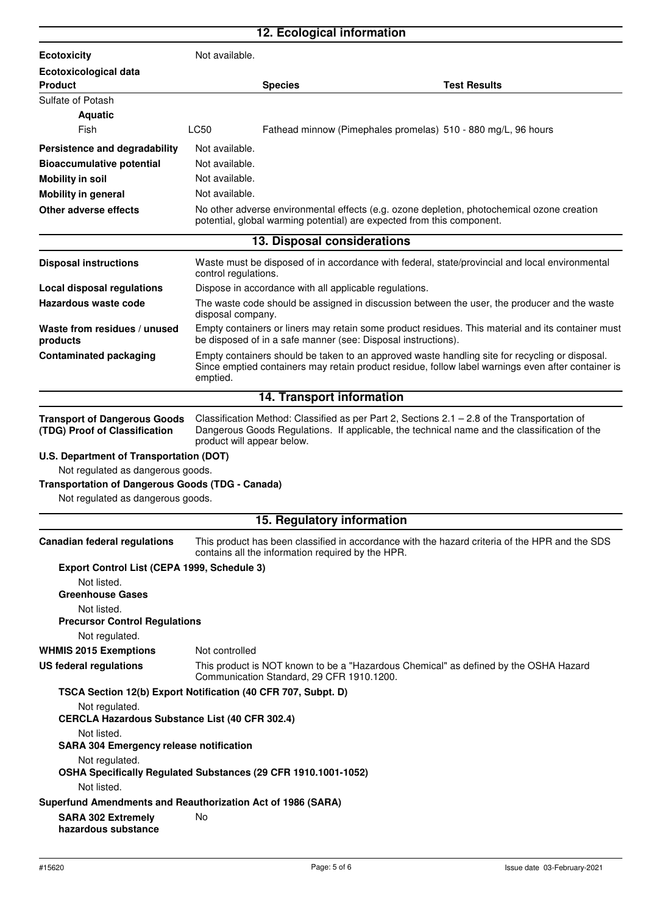|                                                                                                                                                                                               | 12. Ecological information                     |                                                   |                                                                                                                                                                                                      |
|-----------------------------------------------------------------------------------------------------------------------------------------------------------------------------------------------|------------------------------------------------|---------------------------------------------------|------------------------------------------------------------------------------------------------------------------------------------------------------------------------------------------------------|
| <b>Ecotoxicity</b>                                                                                                                                                                            | Not available.                                 |                                                   |                                                                                                                                                                                                      |
| Ecotoxicological data                                                                                                                                                                         |                                                |                                                   |                                                                                                                                                                                                      |
| <b>Product</b>                                                                                                                                                                                |                                                | <b>Species</b>                                    | <b>Test Results</b>                                                                                                                                                                                  |
| Sulfate of Potash                                                                                                                                                                             |                                                |                                                   |                                                                                                                                                                                                      |
| <b>Aquatic</b>                                                                                                                                                                                |                                                |                                                   |                                                                                                                                                                                                      |
| Fish                                                                                                                                                                                          | LC50                                           |                                                   | Fathead minnow (Pimephales promelas) 510 - 880 mg/L, 96 hours                                                                                                                                        |
| Persistence and degradability                                                                                                                                                                 | Not available.                                 |                                                   |                                                                                                                                                                                                      |
| <b>Bioaccumulative potential</b>                                                                                                                                                              | Not available.                                 |                                                   |                                                                                                                                                                                                      |
| <b>Mobility in soil</b>                                                                                                                                                                       | Not available.                                 |                                                   |                                                                                                                                                                                                      |
| <b>Mobility in general</b>                                                                                                                                                                    | Not available.                                 |                                                   |                                                                                                                                                                                                      |
| Other adverse effects<br>No other adverse environmental effects (e.g. ozone depletion, photochemical ozone creation<br>potential, global warming potential) are expected from this component. |                                                |                                                   |                                                                                                                                                                                                      |
|                                                                                                                                                                                               |                                                | 13. Disposal considerations                       |                                                                                                                                                                                                      |
| <b>Disposal instructions</b>                                                                                                                                                                  | control regulations.                           |                                                   | Waste must be disposed of in accordance with federal, state/provincial and local environmental                                                                                                       |
| <b>Local disposal regulations</b>                                                                                                                                                             |                                                |                                                   | Dispose in accordance with all applicable regulations.                                                                                                                                               |
| Hazardous waste code                                                                                                                                                                          | disposal company.                              |                                                   | The waste code should be assigned in discussion between the user, the producer and the waste                                                                                                         |
| Waste from residues / unused<br>products                                                                                                                                                      |                                                |                                                   | Empty containers or liners may retain some product residues. This material and its container must<br>be disposed of in a safe manner (see: Disposal instructions).                                   |
| <b>Contaminated packaging</b>                                                                                                                                                                 | emptied.                                       |                                                   | Empty containers should be taken to an approved waste handling site for recycling or disposal.<br>Since emptied containers may retain product residue, follow label warnings even after container is |
|                                                                                                                                                                                               |                                                | 14. Transport information                         |                                                                                                                                                                                                      |
| <b>Transport of Dangerous Goods</b><br>(TDG) Proof of Classification                                                                                                                          | product will appear below.                     |                                                   | Classification Method: Classified as per Part 2, Sections $2.1 - 2.8$ of the Transportation of<br>Dangerous Goods Regulations. If applicable, the technical name and the classification of the       |
| U.S. Department of Transportation (DOT)                                                                                                                                                       |                                                |                                                   |                                                                                                                                                                                                      |
| Not regulated as dangerous goods.                                                                                                                                                             |                                                |                                                   |                                                                                                                                                                                                      |
| <b>Transportation of Dangerous Goods (TDG - Canada)</b><br>Not regulated as dangerous goods.                                                                                                  |                                                |                                                   |                                                                                                                                                                                                      |
|                                                                                                                                                                                               |                                                | 15. Regulatory information                        |                                                                                                                                                                                                      |
| <b>Canadian federal regulations</b>                                                                                                                                                           |                                                | contains all the information required by the HPR. | This product has been classified in accordance with the hazard criteria of the HPR and the SDS                                                                                                       |
| Export Control List (CEPA 1999, Schedule 3)                                                                                                                                                   |                                                |                                                   |                                                                                                                                                                                                      |
| Not listed.                                                                                                                                                                                   |                                                |                                                   |                                                                                                                                                                                                      |
| <b>Greenhouse Gases</b>                                                                                                                                                                       |                                                |                                                   |                                                                                                                                                                                                      |
| Not listed.<br><b>Precursor Control Regulations</b>                                                                                                                                           |                                                |                                                   |                                                                                                                                                                                                      |
| Not regulated.                                                                                                                                                                                |                                                |                                                   |                                                                                                                                                                                                      |
| <b>WHMIS 2015 Exemptions</b>                                                                                                                                                                  | Not controlled                                 |                                                   |                                                                                                                                                                                                      |
| <b>US federal regulations</b>                                                                                                                                                                 |                                                | Communication Standard, 29 CFR 1910.1200.         | This product is NOT known to be a "Hazardous Chemical" as defined by the OSHA Hazard                                                                                                                 |
| TSCA Section 12(b) Export Notification (40 CFR 707, Subpt. D)                                                                                                                                 |                                                |                                                   |                                                                                                                                                                                                      |
| Not regulated.<br><b>CERCLA Hazardous Substance List (40 CFR 302.4)</b>                                                                                                                       |                                                |                                                   |                                                                                                                                                                                                      |
| Not listed.                                                                                                                                                                                   | <b>SARA 304 Emergency release notification</b> |                                                   |                                                                                                                                                                                                      |
| Not regulated.<br>OSHA Specifically Regulated Substances (29 CFR 1910.1001-1052)                                                                                                              |                                                |                                                   |                                                                                                                                                                                                      |
| Not listed.                                                                                                                                                                                   |                                                |                                                   |                                                                                                                                                                                                      |
| Superfund Amendments and Reauthorization Act of 1986 (SARA)<br><b>SARA 302 Extremely</b><br>hazardous substance                                                                               | No                                             |                                                   |                                                                                                                                                                                                      |